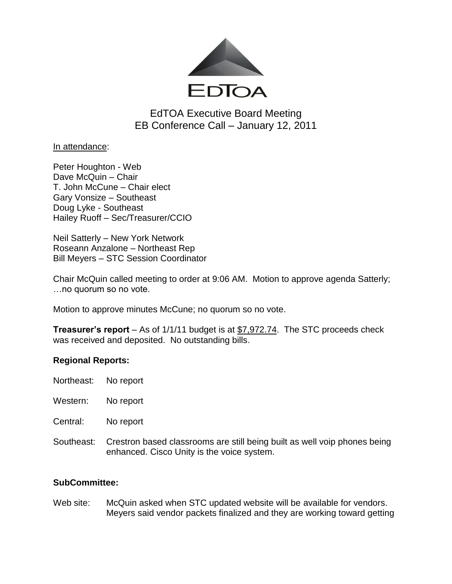

EdTOA Executive Board Meeting EB Conference Call – January 12, 2011

In attendance:

Peter Houghton - Web Dave McQuin – Chair T. John McCune – Chair elect Gary Vonsize – Southeast Doug Lyke - Southeast Hailey Ruoff – Sec/Treasurer/CCIO

Neil Satterly – New York Network Roseann Anzalone – Northeast Rep Bill Meyers – STC Session Coordinator

Chair McQuin called meeting to order at 9:06 AM. Motion to approve agenda Satterly; …no quorum so no vote.

Motion to approve minutes McCune; no quorum so no vote.

**Treasurer's report** – As of 1/1/11 budget is at \$7,972.74. The STC proceeds check was received and deposited. No outstanding bills.

# **Regional Reports:**

Northeast: No report

Western: No report

Central: No report

Southeast: Crestron based classrooms are still being built as well voip phones being enhanced. Cisco Unity is the voice system.

# **SubCommittee:**

Web site: McQuin asked when STC updated website will be available for vendors. Meyers said vendor packets finalized and they are working toward getting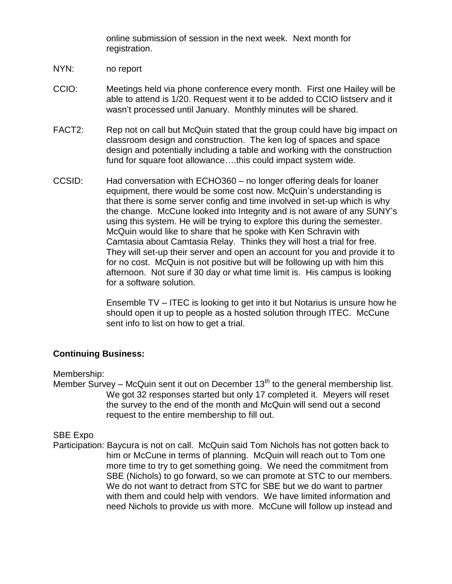online submission of session in the next week. Next month for registration.

- NYN: no report
- CCIO: Meetings held via phone conference every month. First one Hailey will be able to attend is 1/20. Request went it to be added to CCIO listserv and it wasn't processed until January. Monthly minutes will be shared.
- FACT2: Rep not on call but McQuin stated that the group could have big impact on classroom design and construction. The ken log of spaces and space design and potentially including a table and working with the construction fund for square foot allowance….this could impact system wide.
- CCSID: Had conversation with ECHO360 no longer offering deals for loaner equipment, there would be some cost now. McQuin's understanding is that there is some server config and time involved in set-up which is why the change. McCune looked into Integrity and is not aware of any SUNY's using this system. He will be trying to explore this during the semester. McQuin would like to share that he spoke with Ken Schravin with Camtasia about Camtasia Relay. Thinks they will host a trial for free. They will set-up their server and open an account for you and provide it to for no cost. McQuin is not positive but will be following up with him this afternoon. Not sure if 30 day or what time limit is. His campus is looking for a software solution.

Ensemble TV – ITEC is looking to get into it but Notarius is unsure how he should open it up to people as a hosted solution through ITEC. McCune sent info to list on how to get a trial.

### **Continuing Business:**

### Membership:

Member Survey – McQuin sent it out on December  $13<sup>th</sup>$  to the general membership list. We got 32 responses started but only 17 completed it. Meyers will reset the survey to the end of the month and McQuin will send out a second request to the entire membership to fill out.

### SBE Expo

Participation: Baycura is not on call. McQuin said Tom Nichols has not gotten back to him or McCune in terms of planning. McQuin will reach out to Tom one more time to try to get something going. We need the commitment from SBE (Nichols) to go forward, so we can promote at STC to our members. We do not want to detract from STC for SBE but we do want to partner with them and could help with vendors. We have limited information and need Nichols to provide us with more. McCune will follow up instead and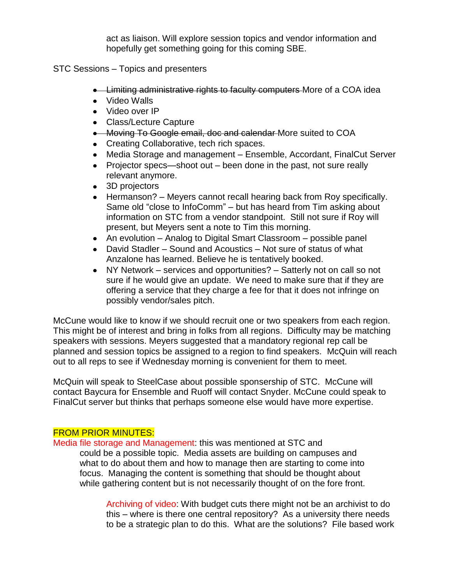act as liaison. Will explore session topics and vendor information and hopefully get something going for this coming SBE.

STC Sessions – Topics and presenters

- **Example 2** Limiting administrative rights to faculty computers More of a COA idea
- Video Walls
- Video over IP
- Class/Lecture Capture
- **Moving To Google email, doc and calendar** More suited to COA
- Creating Collaborative, tech rich spaces.
- Media Storage and management Ensemble, Accordant, FinalCut Server
- Projector specs—shoot out been done in the past, not sure really relevant anymore.
- 3D projectors
- Hermanson? Meyers cannot recall hearing back from Roy specifically. Same old "close to InfoComm" – but has heard from Tim asking about information on STC from a vendor standpoint. Still not sure if Roy will present, but Meyers sent a note to Tim this morning.
- An evolution Analog to Digital Smart Classroom possible panel
- David Stadler Sound and Acoustics Not sure of status of what Anzalone has learned. Believe he is tentatively booked.
- NY Network services and opportunities? Satterly not on call so not sure if he would give an update. We need to make sure that if they are offering a service that they charge a fee for that it does not infringe on possibly vendor/sales pitch.

McCune would like to know if we should recruit one or two speakers from each region. This might be of interest and bring in folks from all regions. Difficulty may be matching speakers with sessions. Meyers suggested that a mandatory regional rep call be planned and session topics be assigned to a region to find speakers. McQuin will reach out to all reps to see if Wednesday morning is convenient for them to meet.

McQuin will speak to SteelCase about possible sponsership of STC. McCune will contact Baycura for Ensemble and Ruoff will contact Snyder. McCune could speak to FinalCut server but thinks that perhaps someone else would have more expertise.

# FROM PRIOR MINUTES:

Media file storage and Management: this was mentioned at STC and could be a possible topic. Media assets are building on campuses and what to do about them and how to manage then are starting to come into focus. Managing the content is something that should be thought about while gathering content but is not necessarily thought of on the fore front.

> Archiving of video: With budget cuts there might not be an archivist to do this – where is there one central repository? As a university there needs to be a strategic plan to do this. What are the solutions? File based work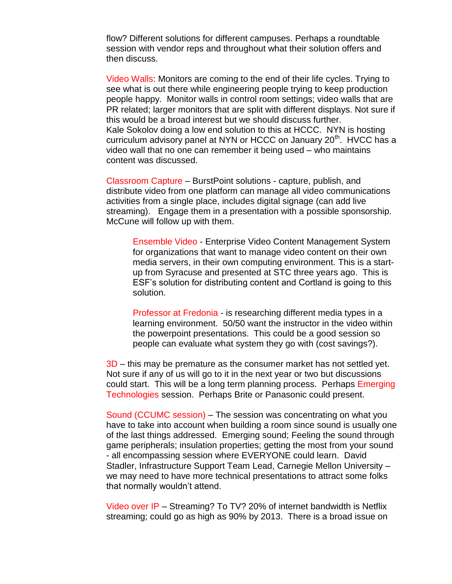flow? Different solutions for different campuses. Perhaps a roundtable session with vendor reps and throughout what their solution offers and then discuss.

Video Walls: Monitors are coming to the end of their life cycles. Trying to see what is out there while engineering people trying to keep production people happy. Monitor walls in control room settings; video walls that are PR related; larger monitors that are split with different displays. Not sure if this would be a broad interest but we should discuss further. Kale Sokolov doing a low end solution to this at HCCC. NYN is hosting curriculum advisory panel at NYN or HCCC on January  $20<sup>th</sup>$ . HVCC has a video wall that no one can remember it being used – who maintains content was discussed.

Classroom Capture – BurstPoint solutions - capture, publish, and distribute video from one platform can manage all video communications activities from a single place, includes digital signage (can add live streaming). Engage them in a presentation with a possible sponsorship. McCune will follow up with them.

Ensemble Video - Enterprise Video Content Management System for organizations that want to manage video content on their own media servers, in their own computing environment. This is a startup from Syracuse and presented at STC three years ago. This is ESF's solution for distributing content and Cortland is going to this solution.

Professor at Fredonia - is researching different media types in a learning environment. 50/50 want the instructor in the video within the powerpoint presentations. This could be a good session so people can evaluate what system they go with (cost savings?).

3D – this may be premature as the consumer market has not settled yet. Not sure if any of us will go to it in the next year or two but discussions could start. This will be a long term planning process. Perhaps Emerging Technologies session. Perhaps Brite or Panasonic could present.

Sound (CCUMC session) – The session was concentrating on what you have to take into account when building a room since sound is usually one of the last things addressed. Emerging sound; Feeling the sound through game peripherals; insulation properties; getting the most from your sound - all encompassing session where EVERYONE could learn. David Stadler, Infrastructure Support Team Lead, Carnegie Mellon University – we may need to have more technical presentations to attract some folks that normally wouldn't attend.

Video over IP – Streaming? To TV? 20% of internet bandwidth is Netflix streaming; could go as high as 90% by 2013. There is a broad issue on